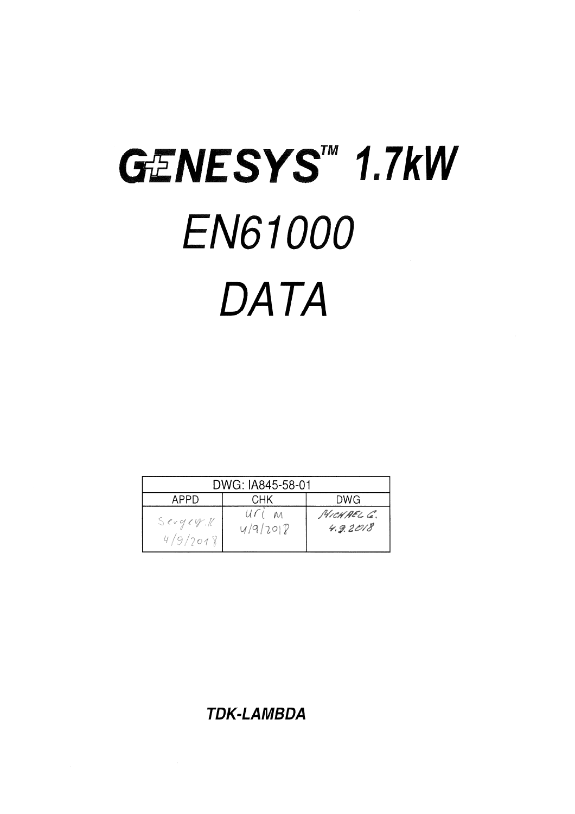# GENESYS<sup>M</sup> 1.7kW **EN61000** DATA

| DWG: IA845-58-01   |                   |                        |  |
|--------------------|-------------------|------------------------|--|
| APPD               | DWG               |                        |  |
| Seydyx<br>4/9/2018 | uri m<br>4/9/2018 | MICHAEL G.<br>4.9.2018 |  |

**TDK-LAMBDA**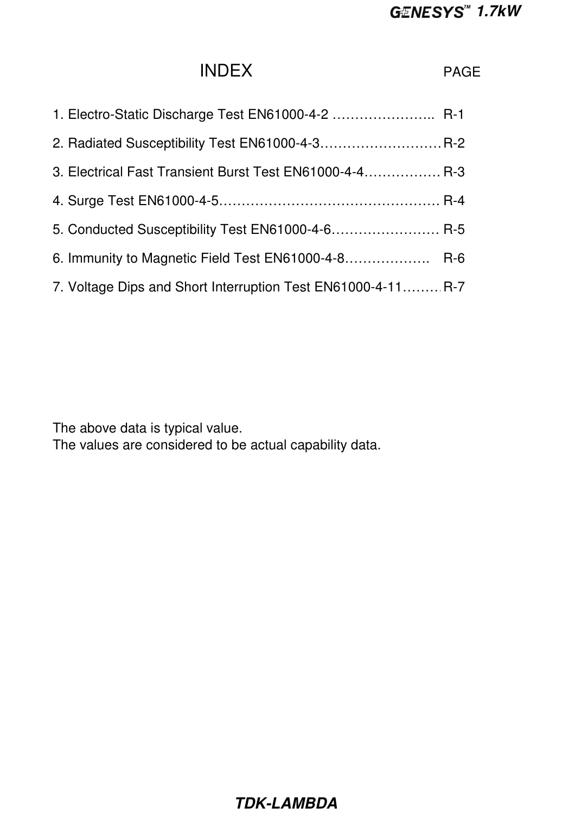## INDEX PAGE

| 1. Electro-Static Discharge Test EN61000-4-2  R-1            |  |
|--------------------------------------------------------------|--|
| 2. Radiated Susceptibility Test EN61000-4-3 R-2              |  |
| 3. Electrical Fast Transient Burst Test EN61000-4-4 R-3      |  |
|                                                              |  |
| 5. Conducted Susceptibility Test EN61000-4-6 R-5             |  |
| 6. Immunity to Magnetic Field Test EN61000-4-8 R-6           |  |
| 7. Voltage Dips and Short Interruption Test EN61000-4-11 R-7 |  |

The above data is typical value.

The values are considered to be actual capability data.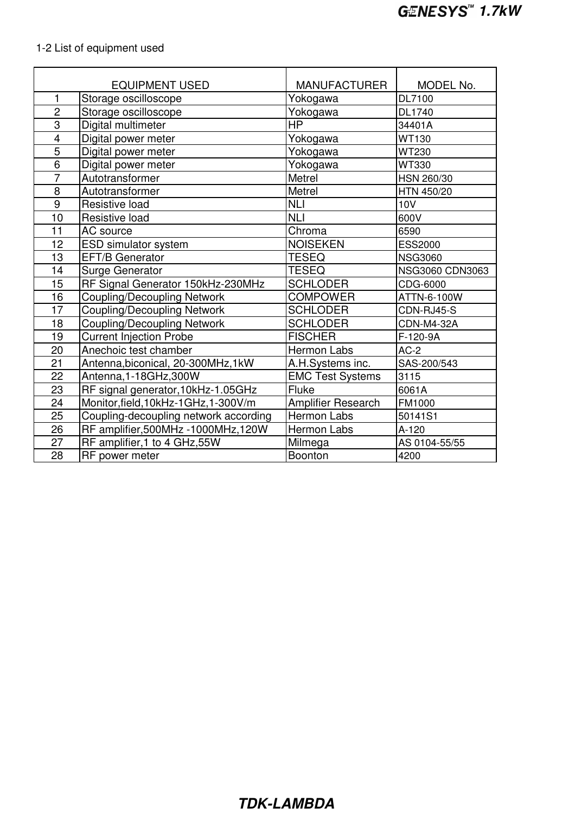## 1-2 List of equipment used

|                         | <b>EQUIPMENT USED</b>                 | <b>MANUFACTURER</b>       | MODEL No.         |
|-------------------------|---------------------------------------|---------------------------|-------------------|
| 1                       | Storage oscilloscope                  | Yokogawa                  | DL7100            |
| $\overline{2}$          | Storage oscilloscope                  | Yokogawa                  | DL1740            |
| 3                       | Digital multimeter                    | <b>HP</b>                 | 34401A            |
| $\overline{\mathbf{4}}$ | Digital power meter                   | Yokogawa                  | <b>WT130</b>      |
| 5                       | Digital power meter                   | Yokogawa                  | <b>WT230</b>      |
| 6                       | Digital power meter                   | Yokogawa                  | <b>WT330</b>      |
| $\overline{7}$          | Autotransformer                       | Metrel                    | HSN 260/30        |
| 8                       | Autotransformer                       | Metrel                    | HTN 450/20        |
| 9                       | Resistive load                        | <b>NLI</b>                | <b>10V</b>        |
| 10                      | Resistive load                        | <b>NLI</b>                | 600V              |
| 11                      | AC source                             | Chroma                    | 6590              |
| 12                      | <b>ESD simulator system</b>           | <b>NOISEKEN</b>           | <b>ESS2000</b>    |
| 13                      | <b>EFT/B Generator</b>                | <b>TESEQ</b>              | <b>NSG3060</b>    |
| 14                      | <b>Surge Generator</b>                | <b>TESEQ</b>              | NSG3060 CDN3063   |
| 15                      | RF Signal Generator 150kHz-230MHz     | <b>SCHLODER</b>           | CDG-6000          |
| 16                      | <b>Coupling/Decoupling Network</b>    | <b>COMPOWER</b>           | ATTN-6-100W       |
| 17                      | <b>Coupling/Decoupling Network</b>    | <b>SCHLODER</b>           | CDN-RJ45-S        |
| 18                      | <b>Coupling/Decoupling Network</b>    | <b>SCHLODER</b>           | <b>CDN-M4-32A</b> |
| 19                      | <b>Current Injection Probe</b>        | <b>FISCHER</b>            | F-120-9A          |
| 20                      | Anechoic test chamber                 | <b>Hermon Labs</b>        | $AC-2$            |
| 21                      | Antenna, biconical, 20-300MHz, 1kW    | A.H.Systems inc.          | SAS-200/543       |
| 22                      | Antenna, 1-18GHz, 300W                | <b>EMC Test Systems</b>   | 3115              |
| 23                      | RF signal generator, 10kHz-1.05GHz    | Fluke                     | 6061A             |
| 24                      | Monitor, field, 10kHz-1GHz, 1-300V/m  | <b>Amplifier Research</b> | FM1000            |
| 25                      | Coupling-decoupling network according | Hermon Labs               | 50141S1           |
| 26                      | RF amplifier, 500MHz - 1000MHz, 120W  | <b>Hermon Labs</b>        | A-120             |
| 27                      | RF amplifier, 1 to 4 GHz, 55W         | Milmega                   | AS 0104-55/55     |
| 28                      | RF power meter                        | Boonton                   | 4200              |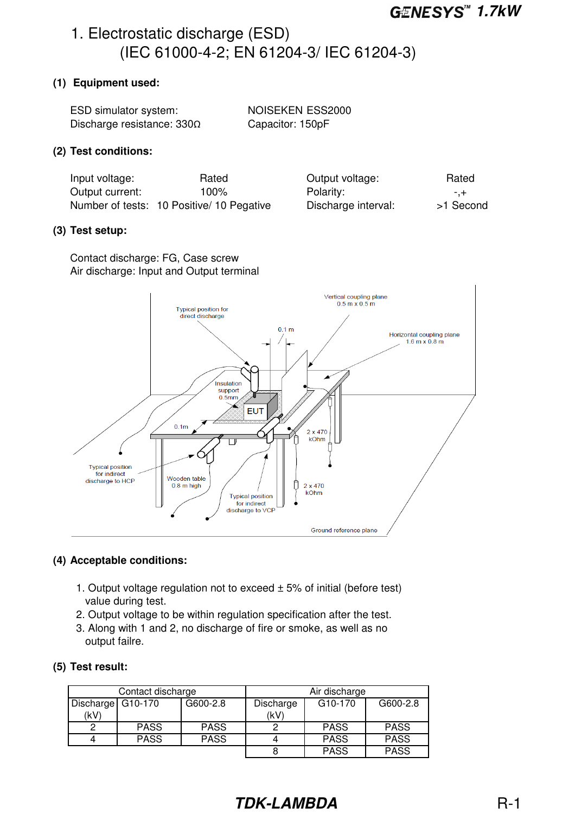>1 Second

## 1. Electrostatic discharge (ESD) (IEC 61000-4-2; EN 61204-3/ IEC 61204-3)

#### **(1) Equipment used:**

| ESD simulator system:             | NOISEKEN ESS2000 |
|-----------------------------------|------------------|
| Discharge resistance: $330\Omega$ | Capacitor: 150pF |

#### **(2) Test conditions:**

| Input voltage:  | Rated                                     | Output voltage:     | Rated   |
|-----------------|-------------------------------------------|---------------------|---------|
| Output current: | $100\%$                                   | Polarity:           | -.+ -   |
|                 | Number of tests: 10 Positive/ 10 Pegative | Discharge interval: | >1 Secc |

#### **(3) Test setup:**

Contact discharge: FG, Case screw Air discharge: Input and Output terminal



#### **(4) Acceptable conditions:**

- 1. Output voltage regulation not to exceed  $\pm$  5% of initial (before test) value during test.
- 2. Output voltage to be within regulation specification after the test.
- 3. Along with 1 and 2, no discharge of fire or smoke, as well as no output failre.

#### **(5) Test result:**

| Contact discharge |             | Air discharge |           |                      |             |
|-------------------|-------------|---------------|-----------|----------------------|-------------|
| Discharge G10-170 |             | G600-2.8      | Discharge | G <sub>10</sub> -170 | G600-2.8    |
| (kV)              |             |               | (kV)      |                      |             |
|                   | <b>PASS</b> | <b>PASS</b>   |           | <b>PASS</b>          | <b>PASS</b> |
|                   | <b>PASS</b> | <b>PASS</b>   |           | <b>PASS</b>          | <b>PASS</b> |
|                   |             |               |           | <b>PASS</b>          | <b>PASS</b> |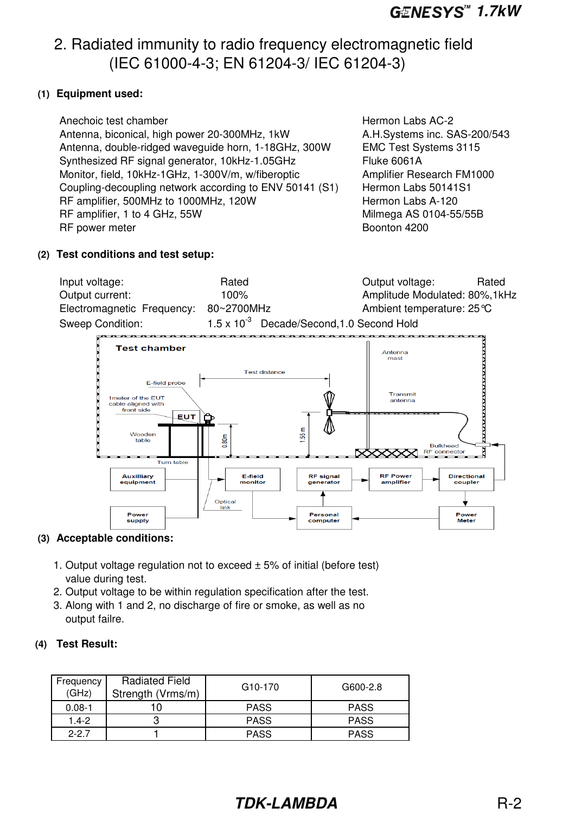## 2. Radiated immunity to radio frequency electromagnetic field (IEC 61000-4-3; EN 61204-3/ IEC 61204-3)

#### **(1) Equipment used:**

#### **(2) Test conditions and test setup:**

| Input voltage:             | Rated                                               | Output voltage:                    | Rated |
|----------------------------|-----------------------------------------------------|------------------------------------|-------|
| Output current:            | $100\%$                                             | Amplitude Modulated: 80%, 1kHz     |       |
| Electromagnetic Frequency: | 80~2700MHz                                          | Ambient temperature: $25^{\circ}C$ |       |
| Sweep Condition:           | $1.5 \times 10^{-3}$ Decade/Second, 1.0 Second Hold |                                    |       |



#### **(3) Acceptable conditions:**

- 1. Output voltage regulation not to exceed  $\pm$  5% of initial (before test) value during test.
- 2. Output voltage to be within regulation specification after the test.
- 3. Along with 1 and 2, no discharge of fire or smoke, as well as no output failre.

#### **(4) Test Result:**

| Frequency<br>(GHz) | <b>Radiated Field</b><br>Strength (Vrms/m) | G <sub>10</sub> -170 | G600-2.8    |
|--------------------|--------------------------------------------|----------------------|-------------|
| $0.08 - 1$         |                                            | <b>PASS</b>          | <b>PASS</b> |
| $1.4 - 2$          |                                            | <b>PASS</b>          | <b>PASS</b> |
| $2 - 27$           |                                            | <b>PASS</b>          | <b>PASS</b> |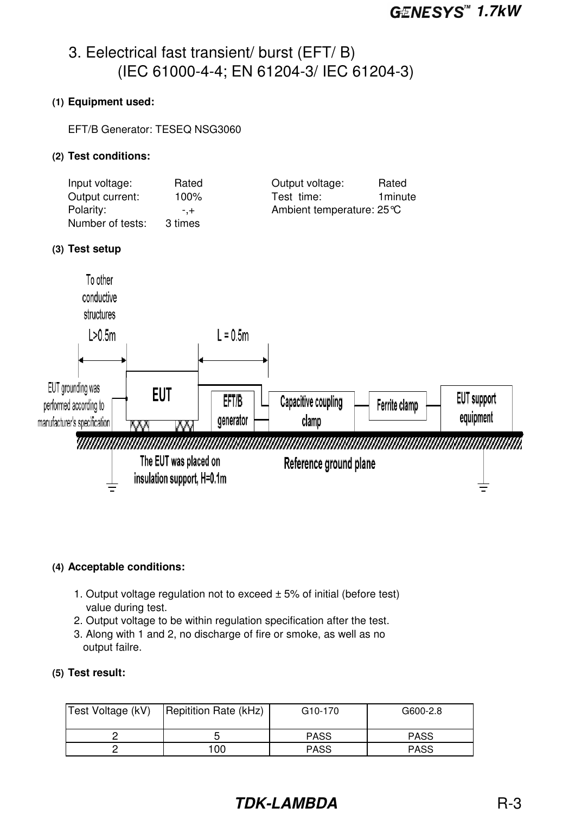## 3. Eelectrical fast transient/ burst (EFT/ B) (IEC 61000-4-4; EN 61204-3/ IEC 61204-3)

#### **(1) Equipment used:**

EFT/B Generator: TESEQ NSG3060

#### **(2) Test conditions:**

| Input voltage:   | Rated   | Output voltage:<br>Rated |
|------------------|---------|--------------------------|
| Output current:  | 100%    | 1 minute<br>Test time:   |
| Polarity:        | $- +$   | Ambient temperature: 25℃ |
| Number of tests: | 3 times |                          |

#### **(3) Test setup**



#### **(4) Acceptable conditions:**

- 1. Output voltage regulation not to exceed  $\pm$  5% of initial (before test) value during test.
- 2. Output voltage to be within regulation specification after the test.
- 3. Along with 1 and 2, no discharge of fire or smoke, as well as no output failre.

#### **(5) Test result:**

| Test Voltage (kV) | Repitition Rate (kHz) | G <sub>10</sub> -170 | G600-2.8    |
|-------------------|-----------------------|----------------------|-------------|
|                   |                       | <b>PASS</b>          | <b>PASS</b> |
|                   | 100                   | <b>PASS</b>          | <b>PASS</b> |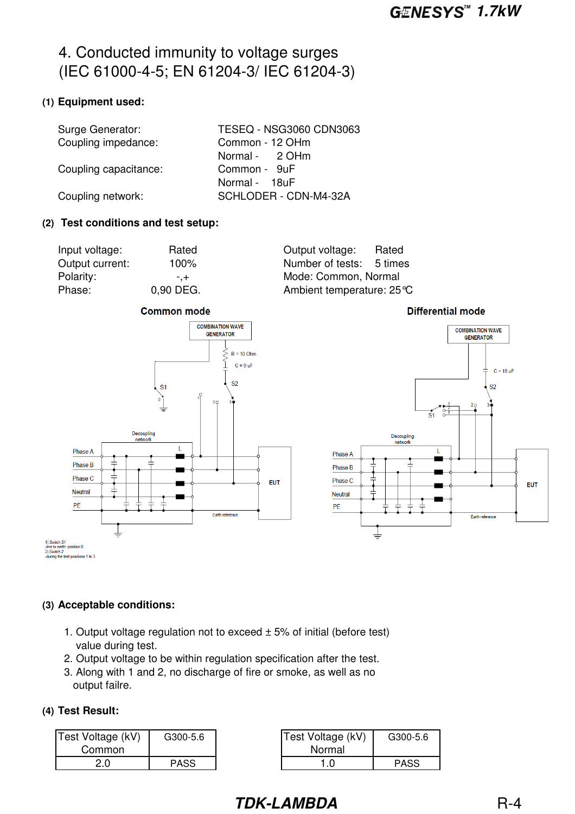## 4. Conducted immunity to voltage surges (IEC 61000-4-5; EN 61204-3/ IEC 61204-3)

### **(1) Equipment used:**

| Surge Generator:      | TESEQ - NSG3060 CDN3063 |
|-----------------------|-------------------------|
| Coupling impedance:   | Common - 12 OHm         |
|                       | Normal - 2 OHm          |
| Coupling capacitance: | Common - 9uF            |
|                       | Normal - 18uF           |
| Coupling network:     | SCHLODER - CDN-M4-32A   |
|                       |                         |

#### **(2) Test conditions and test setup:**

| Input voltage:  | Rated     |
|-----------------|-----------|
| Output current: | 100%      |
| Polarity:       | -.+       |
| Phase:          | 0,90 DEG. |

Output voltage: Rated Number of tests: 5 times Mode: Common, Normal Ambient temperature: 25°C



**Differential mode** 



#### **(3) Acceptable conditions:**

- 1. Output voltage regulation not to exceed  $\pm$  5% of initial (before test) value during test.
- 2. Output voltage to be within regulation specification after the test.
- 3. Along with 1 and 2, no discharge of fire or smoke, as well as no output failre.

#### **(4) Test Result:**

| Test Voltage (kV) | G300-5.6    | Test Voltage (kV) | G300-5.6    |
|-------------------|-------------|-------------------|-------------|
| Common            |             | Normal            |             |
| 2.0               | <b>PASS</b> |                   | <b>PASS</b> |

| ltage (kV) | G300-5.6    | Test Voltage (kV) | G300-5.6    |
|------------|-------------|-------------------|-------------|
| mmon       |             | Normal            |             |
| 2.0        | <b>PASS</b> |                   | <b>PASS</b> |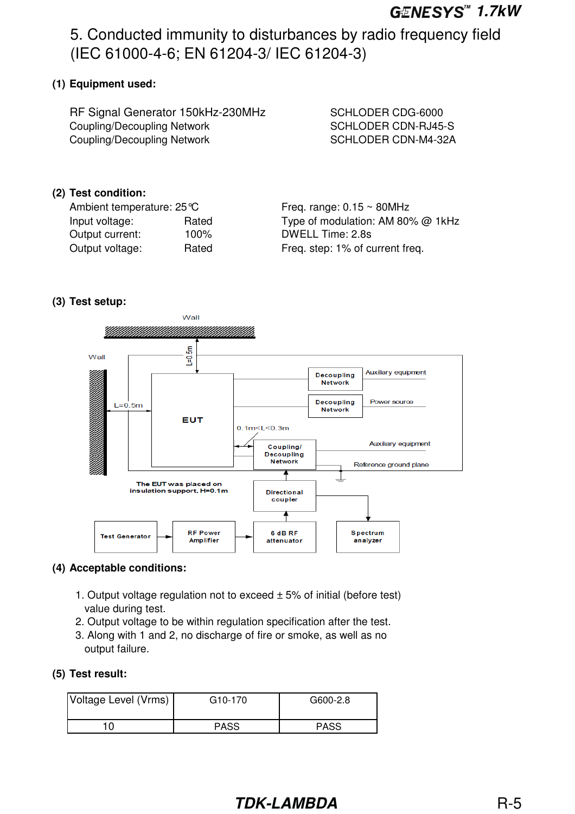5. Conducted immunity to disturbances by radio frequency field (IEC 61000-4-6; EN 61204-3/ IEC 61204-3)

### **(1) Equipment used:**

RF Signal Generator 150kHz-230MHz SCHLODER CDG-6000 Coupling/Decoupling Network SCHLODER CDN-RJ45-S Coupling/Decoupling Network SCHLODER CDN-M4-32A

#### **(2) Test condition:**

| Ambient temperature: 25 °C |       |  |
|----------------------------|-------|--|
| Input voltage:             | Rated |  |
| Output current:            | 100%  |  |
| Output voltage:            | Rated |  |

Freq. range:  $0.15 \sim 80$ MHz Type of modulation: AM 80%  $@$  1kHz DWELL Time: 2.8s Freq. step: 1% of current freq.

#### **(3) Test setup:**



#### **(4) Acceptable conditions:**

- 1. Output voltage regulation not to exceed  $\pm$  5% of initial (before test) value during test.
- 2. Output voltage to be within regulation specification after the test.
- 3. Along with 1 and 2, no discharge of fire or smoke, as well as no output failure.

#### **(5) Test result:**

| Voltage Level (Vrms) | G <sub>10</sub> -170 | G600-2.8    |
|----------------------|----------------------|-------------|
| 10                   | <b>PASS</b>          | <b>PASS</b> |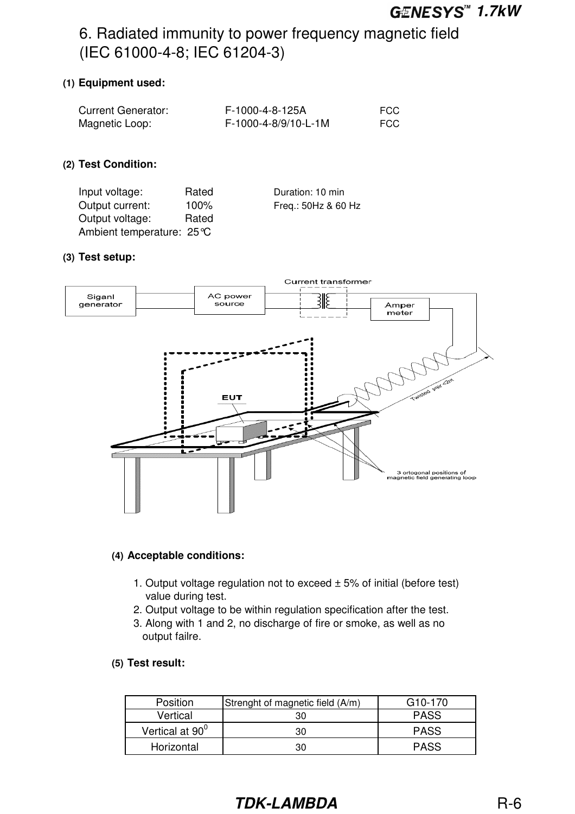## 6. Radiated immunity to power frequency magnetic field (IEC 61000-4-8; IEC 61204-3)

#### **(1) Equipment used:**

| <b>Current Generator:</b> | F-1000-4-8-125A      | <b>FCC</b> |
|---------------------------|----------------------|------------|
| Magnetic Loop:            | F-1000-4-8/9/10-L-1M | <b>FCC</b> |

#### **(2) Test Condition:**

| Input voltage:           | Rated   | Duration: 10 min    |
|--------------------------|---------|---------------------|
| Output current:          | $100\%$ | Freq.: 50Hz & 60 Hz |
| Output voltage:          | Rated   |                     |
| Ambient temperature: 25℃ |         |                     |

#### **(3) Test setup:**



#### **(4) Acceptable conditions:**

- 1. Output voltage regulation not to exceed  $\pm$  5% of initial (before test) value during test.
- 2. Output voltage to be within regulation specification after the test.
- 3. Along with 1 and 2, no discharge of fire or smoke, as well as no output failre.

#### **(5) Test result:**

| <b>Position</b>             | Strenght of magnetic field (A/m) | G <sub>10</sub> -170 |
|-----------------------------|----------------------------------|----------------------|
| Vertical                    |                                  | <b>PASS</b>          |
| Vertical at 90 <sup>0</sup> | 30                               | <b>PASS</b>          |
| Horizontal                  | חצ                               | <b>PASS</b>          |